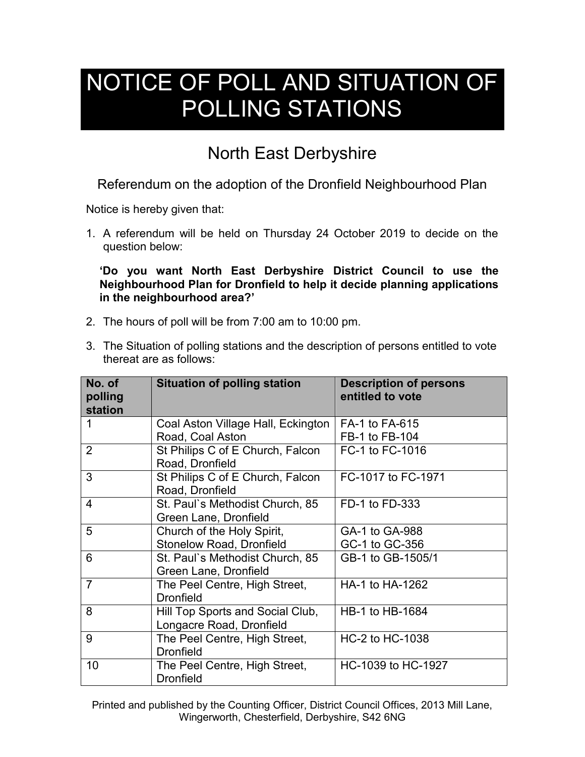## NOTICE OF POLL AND SITUATION OF POLLING STATIONS

## North East Derbyshire

Referendum on the adoption of the Dronfield Neighbourhood Plan

Notice is hereby given that:

1. A referendum will be held on Thursday 24 October 2019 to decide on the question below:

**'Do you want North East Derbyshire District Council to use the Neighbourhood Plan for Dronfield to help it decide planning applications in the neighbourhood area?'**

- 2. The hours of poll will be from 7:00 am to 10:00 pm.
- 3. The Situation of polling stations and the description of persons entitled to vote thereat are as follows:

| No. of<br>polling<br>station | <b>Situation of polling station</b>                           | <b>Description of persons</b><br>entitled to vote |
|------------------------------|---------------------------------------------------------------|---------------------------------------------------|
| 1                            | Coal Aston Village Hall, Eckington<br>Road, Coal Aston        | FA-1 to FA-615<br>FB-1 to FB-104                  |
| $\overline{2}$               | St Philips C of E Church, Falcon<br>Road, Dronfield           | FC-1 to FC-1016                                   |
| 3                            | St Philips C of E Church, Falcon<br>Road, Dronfield           | FC-1017 to FC-1971                                |
| 4                            | St. Paul's Methodist Church, 85<br>Green Lane, Dronfield      | FD-1 to FD-333                                    |
| 5                            | Church of the Holy Spirit,<br><b>Stonelow Road, Dronfield</b> | GA-1 to GA-988<br>GC-1 to GC-356                  |
| 6                            | St. Paul's Methodist Church, 85<br>Green Lane, Dronfield      | GB-1 to GB-1505/1                                 |
| $\overline{7}$               | The Peel Centre, High Street,<br><b>Dronfield</b>             | HA-1 to HA-1262                                   |
| 8                            | Hill Top Sports and Social Club,<br>Longacre Road, Dronfield  | HB-1 to HB-1684                                   |
| 9                            | The Peel Centre, High Street,<br><b>Dronfield</b>             | HC-2 to HC-1038                                   |
| 10                           | The Peel Centre, High Street,<br><b>Dronfield</b>             | HC-1039 to HC-1927                                |

Printed and published by the Counting Officer, District Council Offices, 2013 Mill Lane, Wingerworth, Chesterfield, Derbyshire, S42 6NG